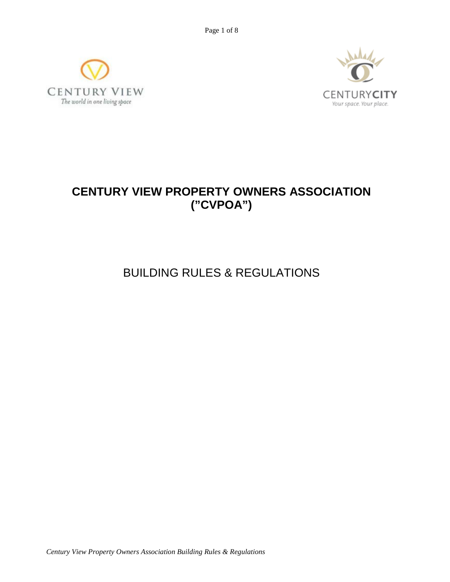Page 1 of 8





# **CENTURY VIEW PROPERTY OWNERS ASSOCIATION ("CVPOA")**

BUILDING RULES & REGULATIONS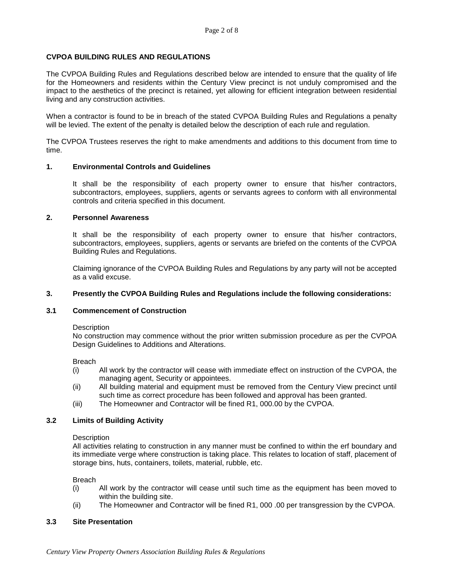# **CVPOA BUILDING RULES AND REGULATIONS**

The CVPOA Building Rules and Regulations described below are intended to ensure that the quality of life for the Homeowners and residents within the Century View precinct is not unduly compromised and the impact to the aesthetics of the precinct is retained, yet allowing for efficient integration between residential living and any construction activities.

When a contractor is found to be in breach of the stated CVPOA Building Rules and Regulations a penalty will be levied. The extent of the penalty is detailed below the description of each rule and regulation.

The CVPOA Trustees reserves the right to make amendments and additions to this document from time to time.

#### **1. Environmental Controls and Guidelines**

It shall be the responsibility of each property owner to ensure that his/her contractors, subcontractors, employees, suppliers, agents or servants agrees to conform with all environmental controls and criteria specified in this document.

## **2. Personnel Awareness**

It shall be the responsibility of each property owner to ensure that his/her contractors, subcontractors, employees, suppliers, agents or servants are briefed on the contents of the CVPOA Building Rules and Regulations.

Claiming ignorance of the CVPOA Building Rules and Regulations by any party will not be accepted as a valid excuse.

# **3. Presently the CVPOA Building Rules and Regulations include the following considerations:**

# **3.1 Commencement of Construction**

**Description** 

No construction may commence without the prior written submission procedure as per the CVPOA Design Guidelines to Additions and Alterations.

Breach

- (i) All work by the contractor will cease with immediate effect on instruction of the CVPOA, the managing agent, Security or appointees.
- (ii) All building material and equipment must be removed from the Century View precinct until such time as correct procedure has been followed and approval has been granted.
- (iii) The Homeowner and Contractor will be fined R1, 000.00 by the CVPOA.

# **3.2 Limits of Building Activity**

#### **Description**

All activities relating to construction in any manner must be confined to within the erf boundary and its immediate verge where construction is taking place. This relates to location of staff, placement of storage bins, huts, containers, toilets, material, rubble, etc.

**Breach** 

- (i) All work by the contractor will cease until such time as the equipment has been moved to within the building site.
- (ii) The Homeowner and Contractor will be fined R1, 000 .00 per transgression by the CVPOA.

#### **3.3 Site Presentation**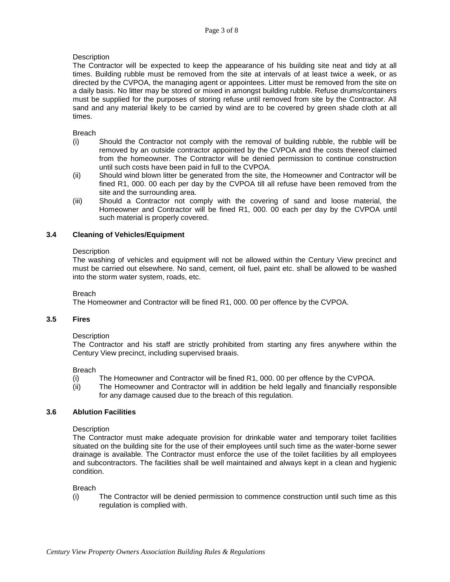# **Description**

The Contractor will be expected to keep the appearance of his building site neat and tidy at all times. Building rubble must be removed from the site at intervals of at least twice a week, or as directed by the CVPOA, the managing agent or appointees. Litter must be removed from the site on a daily basis. No litter may be stored or mixed in amongst building rubble. Refuse drums/containers must be supplied for the purposes of storing refuse until removed from site by the Contractor. All sand and any material likely to be carried by wind are to be covered by green shade cloth at all times.

#### Breach

- (i) Should the Contractor not comply with the removal of building rubble, the rubble will be removed by an outside contractor appointed by the CVPOA and the costs thereof claimed from the homeowner. The Contractor will be denied permission to continue construction until such costs have been paid in full to the CVPOA.
- (ii) Should wind blown litter be generated from the site, the Homeowner and Contractor will be fined R1, 000. 00 each per day by the CVPOA till all refuse have been removed from the site and the surrounding area.
- (iii) Should a Contractor not comply with the covering of sand and loose material, the Homeowner and Contractor will be fined R1, 000. 00 each per day by the CVPOA until such material is properly covered.

# **3.4 Cleaning of Vehicles/Equipment**

#### **Description**

The washing of vehicles and equipment will not be allowed within the Century View precinct and must be carried out elsewhere. No sand, cement, oil fuel, paint etc. shall be allowed to be washed into the storm water system, roads, etc.

#### Breach

The Homeowner and Contractor will be fined R1, 000. 00 per offence by the CVPOA.

## **3.5 Fires**

#### **Description**

The Contractor and his staff are strictly prohibited from starting any fires anywhere within the Century View precinct, including supervised braais.

#### Breach

- (i) The Homeowner and Contractor will be fined R1, 000. 00 per offence by the CVPOA.
- (ii) The Homeowner and Contractor will in addition be held legally and financially responsible for any damage caused due to the breach of this regulation.

# **3.6 Ablution Facilities**

#### **Description**

The Contractor must make adequate provision for drinkable water and temporary toilet facilities situated on the building site for the use of their employees until such time as the water-borne sewer drainage is available. The Contractor must enforce the use of the toilet facilities by all employees and subcontractors. The facilities shall be well maintained and always kept in a clean and hygienic condition.

#### Breach

(i) The Contractor will be denied permission to commence construction until such time as this regulation is complied with.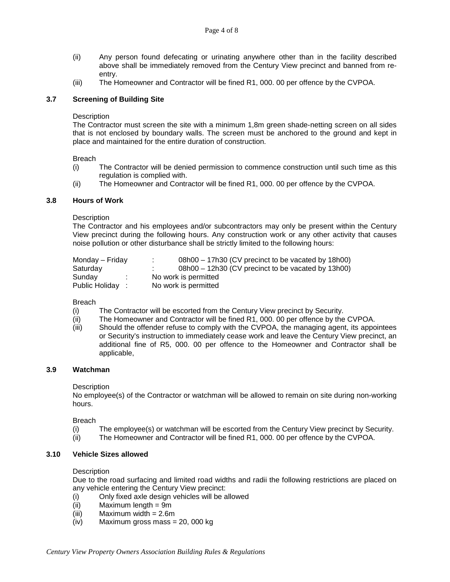- (ii) Any person found defecating or urinating anywhere other than in the facility described above shall be immediately removed from the Century View precinct and banned from reentry.
- (iii) The Homeowner and Contractor will be fined R1, 000. 00 per offence by the CVPOA.

## **3.7 Screening of Building Site**

#### **Description**

The Contractor must screen the site with a minimum 1,8m green shade-netting screen on all sides that is not enclosed by boundary walls. The screen must be anchored to the ground and kept in place and maintained for the entire duration of construction.

#### Breach

- (i) The Contractor will be denied permission to commence construction until such time as this regulation is complied with.
- (ii) The Homeowner and Contractor will be fined R1, 000. 00 per offence by the CVPOA.

#### **3.8 Hours of Work**

#### **Description**

The Contractor and his employees and/or subcontractors may only be present within the Century View precinct during the following hours. Any construction work or any other activity that causes noise pollution or other disturbance shall be strictly limited to the following hours:

| Monday – Friday | 08h00 - 17h30 (CV precinct to be vacated by 18h00)<br>$\sim$ |  |
|-----------------|--------------------------------------------------------------|--|
| Saturday        | 08h00 - 12h30 (CV precinct to be vacated by 13h00)           |  |
| Sunday          | No work is permitted                                         |  |
| Public Holiday: | No work is permitted                                         |  |

#### Breach

- (i) The Contractor will be escorted from the Century View precinct by Security.
- (ii) The Homeowner and Contractor will be fined R1, 000. 00 per offence by the CVPOA.
- (iii) Should the offender refuse to comply with the CVPOA, the managing agent, its appointees or Security's instruction to immediately cease work and leave the Century View precinct, an additional fine of R5, 000. 00 per offence to the Homeowner and Contractor shall be applicable,

# **3.9 Watchman**

#### **Description**

No employee(s) of the Contractor or watchman will be allowed to remain on site during non-working hours.

Breach

- (i) The employee(s) or watchman will be escorted from the Century View precinct by Security.<br>(ii) The Homeowner and Contractor will be fined R1, 000, 00 per offence by the CVPOA.
- The Homeowner and Contractor will be fined R1, 000. 00 per offence by the CVPOA.

#### **3.10 Vehicle Sizes allowed**

#### **Description**

Due to the road surfacing and limited road widths and radii the following restrictions are placed on any vehicle entering the Century View precinct:

- (i) Only fixed axle design vehicles will be allowed  $(ii)$  Maximum length = 9m
- Maximum length  $= 9m$
- (iii) Maximum width = 2.6m
- (iv) Maximum gross mass = 20, 000 kg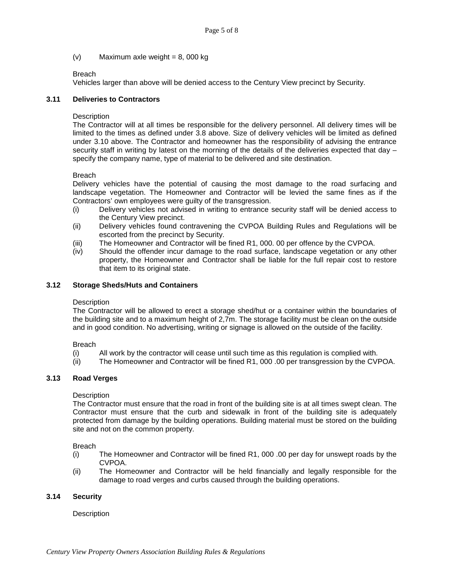(v) Maximum axle weight =  $8,000$  kg

## Breach

Vehicles larger than above will be denied access to the Century View precinct by Security.

## **3.11 Deliveries to Contractors**

#### **Description**

The Contractor will at all times be responsible for the delivery personnel. All delivery times will be limited to the times as defined under 3.8 above. Size of delivery vehicles will be limited as defined under 3.10 above. The Contractor and homeowner has the responsibility of advising the entrance security staff in writing by latest on the morning of the details of the deliveries expected that day – specify the company name, type of material to be delivered and site destination.

## Breach

Delivery vehicles have the potential of causing the most damage to the road surfacing and landscape vegetation. The Homeowner and Contractor will be levied the same fines as if the Contractors' own employees were guilty of the transgression.

- (i) Delivery vehicles not advised in writing to entrance security staff will be denied access to the Century View precinct.
- (ii) Delivery vehicles found contravening the CVPOA Building Rules and Regulations will be escorted from the precinct by Security.
- (iii) The Homeowner and Contractor will be fined R1, 000. 00 per offence by the CVPOA.
- (iv) Should the offender incur damage to the road surface, landscape vegetation or any other property, the Homeowner and Contractor shall be liable for the full repair cost to restore that item to its original state.

## **3.12 Storage Sheds/Huts and Containers**

#### **Description**

The Contractor will be allowed to erect a storage shed/hut or a container within the boundaries of the building site and to a maximum height of 2,7m. The storage facility must be clean on the outside and in good condition. No advertising, writing or signage is allowed on the outside of the facility.

#### Breach

- (i) All work by the contractor will cease until such time as this regulation is complied with.
- (ii) The Homeowner and Contractor will be fined R1, 000 .00 per transgression by the CVPOA.

# **3.13 Road Verges**

#### **Description**

The Contractor must ensure that the road in front of the building site is at all times swept clean. The Contractor must ensure that the curb and sidewalk in front of the building site is adequately protected from damage by the building operations. Building material must be stored on the building site and not on the common property.

Breach

- (i) The Homeowner and Contractor will be fined R1, 000 .00 per day for unswept roads by the CVPOA.
- (ii) The Homeowner and Contractor will be held financially and legally responsible for the damage to road verges and curbs caused through the building operations.

# **3.14 Security**

# **Description**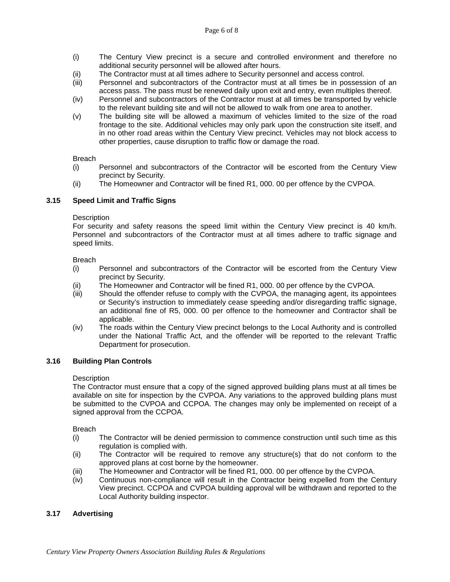- (i) The Century View precinct is a secure and controlled environment and therefore no additional security personnel will be allowed after hours.
- (ii) The Contractor must at all times adhere to Security personnel and access control.
- (iii) Personnel and subcontractors of the Contractor must at all times be in possession of an access pass. The pass must be renewed daily upon exit and entry, even multiples thereof.
- (iv) Personnel and subcontractors of the Contractor must at all times be transported by vehicle to the relevant building site and will not be allowed to walk from one area to another.
- (v) The building site will be allowed a maximum of vehicles limited to the size of the road frontage to the site. Additional vehicles may only park upon the construction site itself, and in no other road areas within the Century View precinct. Vehicles may not block access to other properties, cause disruption to traffic flow or damage the road.

#### Breach

- (i) Personnel and subcontractors of the Contractor will be escorted from the Century View precinct by Security.
- (ii) The Homeowner and Contractor will be fined R1, 000. 00 per offence by the CVPOA.

# **3.15 Speed Limit and Traffic Signs**

## **Description**

For security and safety reasons the speed limit within the Century View precinct is 40 km/h. Personnel and subcontractors of the Contractor must at all times adhere to traffic signage and speed limits.

#### Breach

- (i) Personnel and subcontractors of the Contractor will be escorted from the Century View precinct by Security.
- (ii) The Homeowner and Contractor will be fined R1, 000. 00 per offence by the CVPOA.
- (iii) Should the offender refuse to comply with the CVPOA, the managing agent, its appointees or Security's instruction to immediately cease speeding and/or disregarding traffic signage, an additional fine of R5, 000. 00 per offence to the homeowner and Contractor shall be applicable.
- (iv) The roads within the Century View precinct belongs to the Local Authority and is controlled under the National Traffic Act, and the offender will be reported to the relevant Traffic Department for prosecution.

# **3.16 Building Plan Controls**

#### **Description**

The Contractor must ensure that a copy of the signed approved building plans must at all times be available on site for inspection by the CVPOA. Any variations to the approved building plans must be submitted to the CVPOA and CCPOA. The changes may only be implemented on receipt of a signed approval from the CCPOA.

Breach

- (i) The Contractor will be denied permission to commence construction until such time as this regulation is complied with.
- (ii) The Contractor will be required to remove any structure(s) that do not conform to the approved plans at cost borne by the homeowner.
- (iii) The Homeowner and Contractor will be fined R1, 000. 00 per offence by the CVPOA.
- (iv) Continuous non-compliance will result in the Contractor being expelled from the Century View precinct. CCPOA and CVPOA building approval will be withdrawn and reported to the Local Authority building inspector.

# **3.17 Advertising**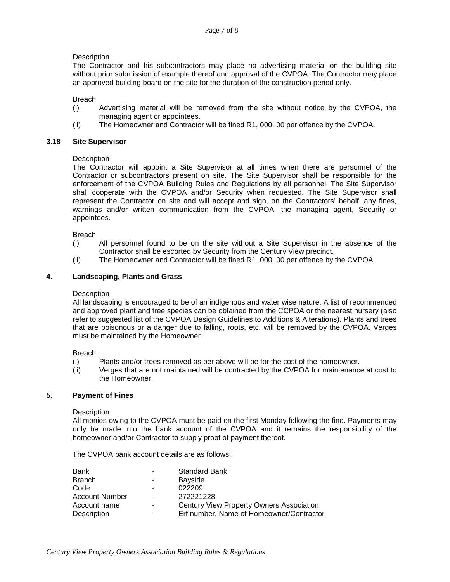## **Description**

The Contractor and his subcontractors may place no advertising material on the building site without prior submission of example thereof and approval of the CVPOA. The Contractor may place an approved building board on the site for the duration of the construction period only.

Breach

- (i) Advertising material will be removed from the site without notice by the CVPOA, the managing agent or appointees.
- (ii) The Homeowner and Contractor will be fined R1, 000. 00 per offence by the CVPOA.

#### **3.18 Site Supervisor**

## **Description**

The Contractor will appoint a Site Supervisor at all times when there are personnel of the Contractor or subcontractors present on site. The Site Supervisor shall be responsible for the enforcement of the CVPOA Building Rules and Regulations by all personnel. The Site Supervisor shall cooperate with the CVPOA and/or Security when requested. The Site Supervisor shall represent the Contractor on site and will accept and sign, on the Contractors' behalf, any fines, warnings and/or written communication from the CVPOA, the managing agent, Security or appointees.

Breach

- (i) All personnel found to be on the site without a Site Supervisor in the absence of the Contractor shall be escorted by Security from the Century View precinct.
- (ii) The Homeowner and Contractor will be fined R1, 000. 00 per offence by the CVPOA.

#### **4. Landscaping, Plants and Grass**

#### **Description**

All landscaping is encouraged to be of an indigenous and water wise nature. A list of recommended and approved plant and tree species can be obtained from the CCPOA or the nearest nursery (also refer to suggested list of the CVPOA Design Guidelines to Additions & Alterations). Plants and trees that are poisonous or a danger due to falling, roots, etc. will be removed by the CVPOA. Verges must be maintained by the Homeowner.

#### Breach

- (i) Plants and/or trees removed as per above will be for the cost of the homeowner.
- (ii) Verges that are not maintained will be contracted by the CVPOA for maintenance at cost to the Homeowner.

#### **5. Payment of Fines**

#### **Description**

All monies owing to the CVPOA must be paid on the first Monday following the fine. Payments may only be made into the bank account of the CVPOA and it remains the responsibility of the homeowner and/or Contractor to supply proof of payment thereof.

The CVPOA bank account details are as follows:

| Bank           | ٠                        | <b>Standard Bank</b>                     |
|----------------|--------------------------|------------------------------------------|
| Branch         | ۰                        | Bayside                                  |
| Code           | $\blacksquare$           | 022209                                   |
| Account Number | $\blacksquare$           | 272221228                                |
| Account name   | $\overline{\phantom{0}}$ | Century View Property Owners Association |
| Description    | ۰                        | Erf number, Name of Homeowner/Contractor |